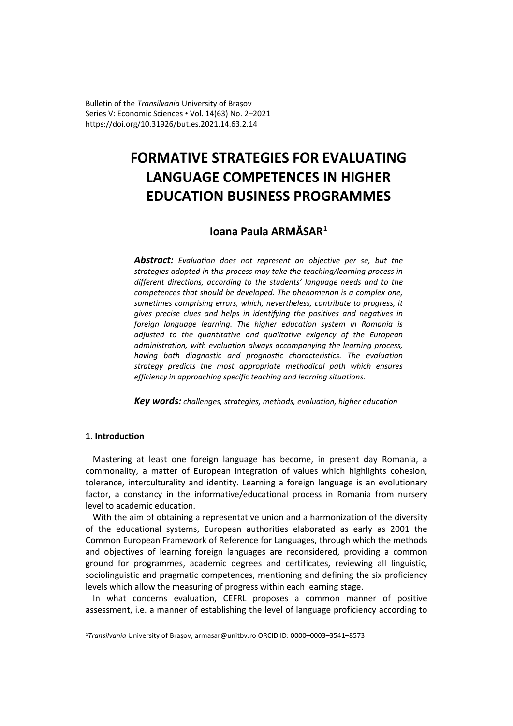Bulletin of the *Transilvania* University of Braşov Series V: Economic Sciences • Vol. 14(63) No. 2–2021 [https://doi.org/10.31926/but.es.2021.14.63.2](https://doi.org/10.31926/but.es.2021.14.63.1).14

# **FORMATIVE STRATEGIES FOR EVALUATING LANGUAGE COMPETENCES IN HIGHER EDUCATION BUSINESS PROGRAMMES**

# **Ioana Paula ARMĂSAR[1](#page-0-0)**

*Abstract: Evaluation does not represent an objective per se, but the strategies adopted in this process may take the teaching/learning process in different directions, according to the students' language needs and to the competences that should be developed. The phenomenon is a complex one, sometimes comprising errors, which, nevertheless, contribute to progress, it gives precise clues and helps in identifying the positives and negatives in foreign language learning. The higher education system in Romania is adjusted to the quantitative and qualitative exigency of the European administration, with evaluation always accompanying the learning process, having both diagnostic and prognostic characteristics. The evaluation strategy predicts the most appropriate methodical path which ensures efficiency in approaching specific teaching and learning situations.*

*Key words: challenges, strategies, methods, evaluation, higher education*

## **1. Introduction**

Mastering at least one foreign language has become, in present day Romania, a commonality, a matter of European integration of values which highlights cohesion, tolerance, interculturality and identity. Learning a foreign language is an evolutionary factor, a constancy in the informative/educational process in Romania from nursery level to academic education.

With the aim of obtaining a representative union and a harmonization of the diversity of the educational systems, European authorities elaborated as early as 2001 the Common European Framework of Reference for Languages, through which the methods and objectives of learning foreign languages are reconsidered, providing a common ground for programmes, academic degrees and certificates, reviewing all linguistic, sociolinguistic and pragmatic competences, mentioning and defining the six proficiency levels which allow the measuring of progress within each learning stage.

In what concerns evaluation, CEFRL proposes a common manner of positive assessment, i.e. a manner of establishing the level of language proficiency according to

<span id="page-0-0"></span><sup>1</sup>*Transilvania* University of Braşov, [armasar@unitbv.ro](mailto:armasar@unitbv.ro) ORCID ID: 0000–0003–3541–8573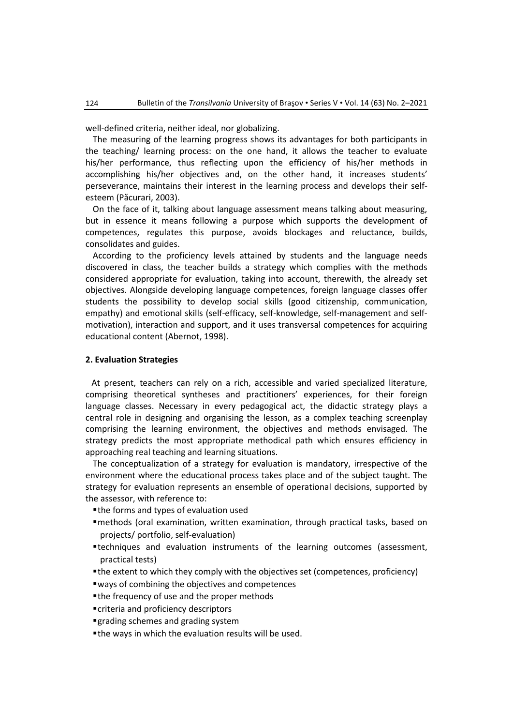well-defined criteria, neither ideal, nor globalizing.

The measuring of the learning progress shows its advantages for both participants in the teaching/ learning process: on the one hand, it allows the teacher to evaluate his/her performance, thus reflecting upon the efficiency of his/her methods in accomplishing his/her objectives and, on the other hand, it increases students' perseverance, maintains their interest in the learning process and develops their selfesteem (Păcurari, 2003).

On the face of it, talking about language assessment means talking about measuring, but in essence it means following a purpose which supports the development of competences, regulates this purpose, avoids blockages and reluctance, builds, consolidates and guides.

According to the proficiency levels attained by students and the language needs discovered in class, the teacher builds a strategy which complies with the methods considered appropriate for evaluation, taking into account, therewith, the already set objectives. Alongside developing language competences, foreign language classes offer students the possibility to develop social skills (good citizenship, communication, empathy) and emotional skills (self-efficacy, self-knowledge, self-management and selfmotivation), interaction and support, and it uses transversal competences for acquiring educational content (Abernot, 1998).

#### **2. Evaluation Strategies**

At present, teachers can rely on a rich, accessible and varied specialized literature, comprising theoretical syntheses and practitioners' experiences, for their foreign language classes. Necessary in every pedagogical act, the didactic strategy plays a central role in designing and organising the lesson, as a complex teaching screenplay comprising the learning environment, the objectives and methods envisaged. The strategy predicts the most appropriate methodical path which ensures efficiency in approaching real teaching and learning situations.

The conceptualization of a strategy for evaluation is mandatory, irrespective of the environment where the educational process takes place and of the subject taught. The strategy for evaluation represents an ensemble of operational decisions, supported by the assessor, with reference to:

- the forms and types of evaluation used
- methods (oral examination, written examination, through practical tasks, based on projects/ portfolio, self-evaluation)
- techniques and evaluation instruments of the learning outcomes (assessment, practical tests)
- the extent to which they comply with the objectives set (competences, proficiency)
- ways of combining the objectives and competences
- the frequency of use and the proper methods
- criteria and proficiency descriptors
- grading schemes and grading system
- the ways in which the evaluation results will be used.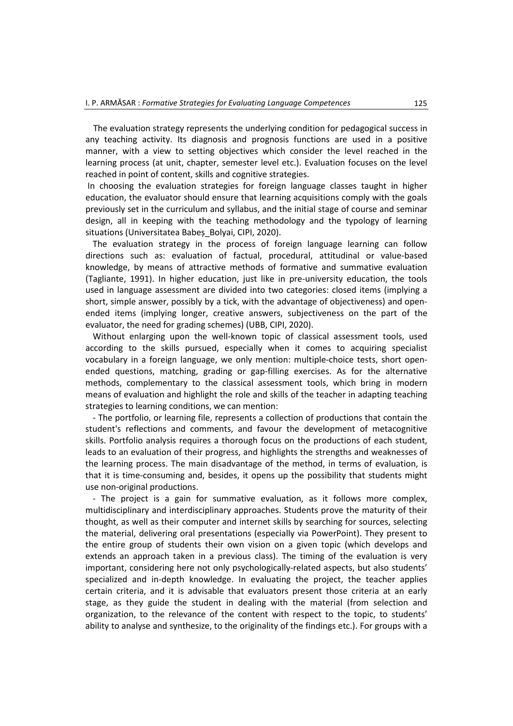The evaluation strategy represents the underlying condition for pedagogical success in any teaching activity. Its diagnosis and prognosis functions are used in a positive manner, with a view to setting objectives which consider the level reached in the learning process (at unit, chapter, semester level etc.). Evaluation focuses on the level reached in point of content, skills and cognitive strategies.

In choosing the evaluation strategies for foreign language classes taught in higher education, the evaluator should ensure that learning acquisitions comply with the goals previously set in the curriculum and syllabus, and the initial stage of course and seminar design, all in keeping with the teaching methodology and the typology of learning situations (Universitatea Babeș\_Bolyai, CIPI, 2020).

The evaluation strategy in the process of foreign language learning can follow directions such as: evaluation of factual, procedural, attitudinal or value-based knowledge, by means of attractive methods of formative and summative evaluation (Tagliante, 1991). In higher education, just like in pre-university education, the tools used in language assessment are divided into two categories: closed items (implying a short, simple answer, possibly by a tick, with the advantage of objectiveness) and openended items (implying longer, creative answers, subjectiveness on the part of the evaluator, the need for grading schemes) (UBB, CIPI, 2020).

Without enlarging upon the well-known topic of classical assessment tools, used according to the skills pursued, especially when it comes to acquiring specialist vocabulary in a foreign language, we only mention: multiple-choice tests, short openended questions, matching, grading or gap-filling exercises. As for the alternative methods, complementary to the classical assessment tools, which bring in modern means of evaluation and highlight the role and skills of the teacher in adapting teaching strategies to learning conditions, we can mention:

- The portfolio, or learning file, represents a collection of productions that contain the student's reflections and comments, and favour the development of metacognitive skills. Portfolio analysis requires a thorough focus on the productions of each student, leads to an evaluation of their progress, and highlights the strengths and weaknesses of the learning process. The main disadvantage of the method, in terms of evaluation, is that it is time-consuming and, besides, it opens up the possibility that students might use non-original productions.

- The project is a gain for summative evaluation, as it follows more complex, multidisciplinary and interdisciplinary approaches. Students prove the maturity of their thought, as well as their computer and internet skills by searching for sources, selecting the material, delivering oral presentations (especially via PowerPoint). They present to the entire group of students their own vision on a given topic (which develops and extends an approach taken in a previous class). The timing of the evaluation is very important, considering here not only psychologically-related aspects, but also students' specialized and in-depth knowledge. In evaluating the project, the teacher applies certain criteria, and it is advisable that evaluators present those criteria at an early stage, as they guide the student in dealing with the material (from selection and organization, to the relevance of the content with respect to the topic, to students' ability to analyse and synthesize, to the originality of the findings etc.). For groups with a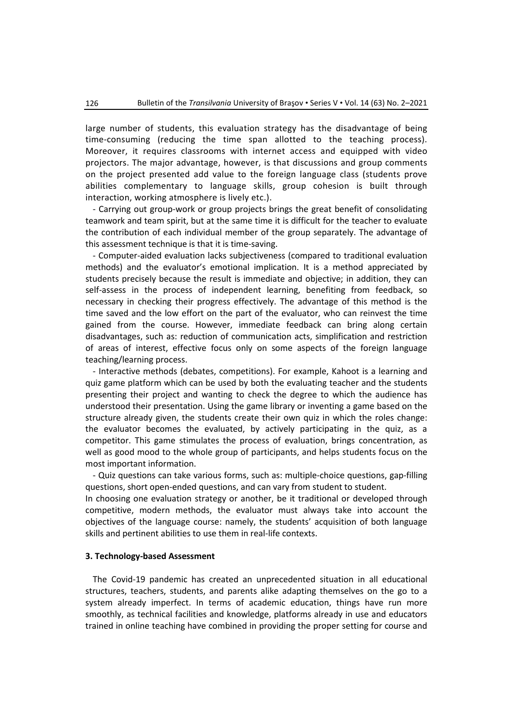large number of students, this evaluation strategy has the disadvantage of being time-consuming (reducing the time span allotted to the teaching process). Moreover, it requires classrooms with internet access and equipped with video projectors. The major advantage, however, is that discussions and group comments on the project presented add value to the foreign language class (students prove abilities complementary to language skills, group cohesion is built through interaction, working atmosphere is lively etc.).

- Carrying out group-work or group projects brings the great benefit of consolidating teamwork and team spirit, but at the same time it is difficult for the teacher to evaluate the contribution of each individual member of the group separately. The advantage of this assessment technique is that it is time-saving.

- Computer-aided evaluation lacks subjectiveness (compared to traditional evaluation methods) and the evaluator's emotional implication. It is a method appreciated by students precisely because the result is immediate and objective; in addition, they can self-assess in the process of independent learning, benefiting from feedback, so necessary in checking their progress effectively. The advantage of this method is the time saved and the low effort on the part of the evaluator, who can reinvest the time gained from the course. However, immediate feedback can bring along certain disadvantages, such as: reduction of communication acts, simplification and restriction of areas of interest, effective focus only on some aspects of the foreign language teaching/learning process.

- Interactive methods (debates, competitions). For example, Kahoot is a learning and quiz game platform which can be used by both the evaluating teacher and the students presenting their project and wanting to check the degree to which the audience has understood their presentation. Using the game library or inventing a game based on the structure already given, the students create their own quiz in which the roles change: the evaluator becomes the evaluated, by actively participating in the quiz, as a competitor. This game stimulates the process of evaluation, brings concentration, as well as good mood to the whole group of participants, and helps students focus on the most important information.

- Quiz questions can take various forms, such as: multiple-choice questions, gap-filling questions, short open-ended questions, and can vary from student to student.

In choosing one evaluation strategy or another, be it traditional or developed through competitive, modern methods, the evaluator must always take into account the objectives of the language course: namely, the students' acquisition of both language skills and pertinent abilities to use them in real-life contexts.

#### **3. Technology-based Assessment**

The Covid-19 pandemic has created an unprecedented situation in all educational structures, teachers, students, and parents alike adapting themselves on the go to a system already imperfect. In terms of academic education, things have run more smoothly, as technical facilities and knowledge, platforms already in use and educators trained in online teaching have combined in providing the proper setting for course and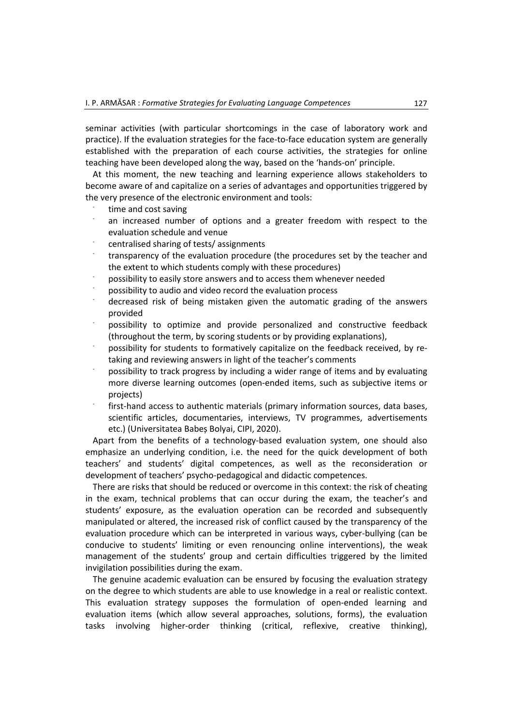seminar activities (with particular shortcomings in the case of laboratory work and practice). If the evaluation strategies for the face-to-face education system are generally established with the preparation of each course activities, the strategies for online teaching have been developed along the way, based on the 'hands-on' principle.

At this moment, the new teaching and learning experience allows stakeholders to become aware of and capitalize on a series of advantages and opportunities triggered by the very presence of the electronic environment and tools:

- 
- time and cost saving<br>an increased number of options and a greater freedom with respect to the evaluation schedule and venue<br>- centralised sharing of tests/ assignments<br>- transparency of the evaluation procedure (the procedures set by the teacher and
- 
- the extent to which students comply with these procedures)<br>possibility to easily store answers and to access them whenever needed<br>possibility to audio and video record the evaluation process<br>decreased risk of being mistake
- 
- 
- provided<br>possibility to optimize and provide personalized and constructive feedback
- (throughout the term, by scoring students or by providing explanations), possibility for students to formatively capitalize on the feedback received, by re-
- taking and reviewing answers in light of the teacher's comments<br>possibility to track progress by including a wider range of items and by evaluating
- more diverse learning outcomes (open-ended items, such as subjective items or projects)
- first-hand access to authentic materials (primary information sources, data bases, scientific articles, documentaries, interviews, TV programmes, advertisements etc.) (Universitatea Babeș Bolyai, CIPI, 2020).

Apart from the benefits of a technology-based evaluation system, one should also emphasize an underlying condition, i.e. the need for the quick development of both teachers' and students' digital competences, as well as the reconsideration or development of teachers' psycho-pedagogical and didactic competences.

There are risks that should be reduced or overcome in this context: the risk of cheating in the exam, technical problems that can occur during the exam, the teacher's and students' exposure, as the evaluation operation can be recorded and subsequently manipulated or altered, the increased risk of conflict caused by the transparency of the evaluation procedure which can be interpreted in various ways, cyber-bullying (can be conducive to students' limiting or even renouncing online interventions), the weak management of the students' group and certain difficulties triggered by the limited invigilation possibilities during the exam.

The genuine academic evaluation can be ensured by focusing the evaluation strategy on the degree to which students are able to use knowledge in a real or realistic context. This evaluation strategy supposes the formulation of open-ended learning and evaluation items (which allow several approaches, solutions, forms), the evaluation tasks involving higher-order thinking (critical, reflexive, creative thinking),